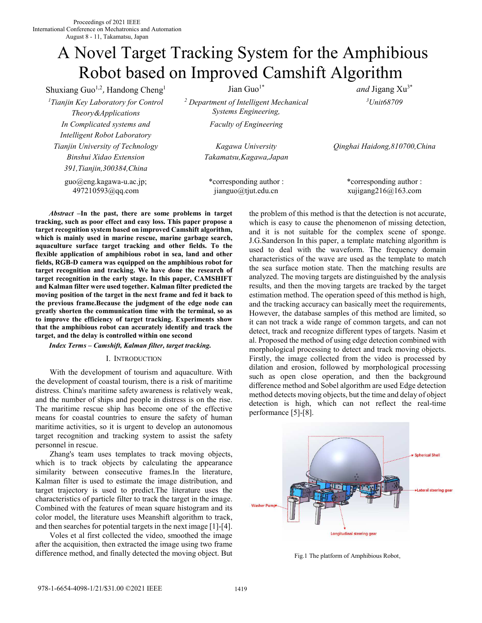# A Novel Target Tracking System for the Amphibious Robot based on Improved Camshift Algorithm

Shuxiang Guo<sup>1,2</sup>, Handong Cheng<sup>1</sup> Jian Guo<sup>1\*</sup> *and* Jigang Xu<sup>3\*</sup> *<sup>1</sup>Tianjin Key Laboratory for Control Theory&Applications In Complicated systems and Intelligent Robot Laboratory Tianjin University of Technology Binshui Xidao Extension 391,Tianjin,300384,China* 

guo@eng.kagawa-u.ac.jp; 497210593@qq.com

*2 Department of Intelligent Mechanical Systems Engineering,* 

*Faculty of Engineering* 

*Kagawa University Takamatsu,Kagawa,Japan*

\*corresponding author : jianguo@tjut.edu.cn

*<sup>3</sup>Unit68709*

*Qinghai Haidong,810700,China* 

\*corresponding author : xujigang216@163.com

*Abstract* **–In the past, there are some problems in target tracking, such as poor effect and easy loss. This paper propose a target recognition system based on improved Camshift algorithm, which is mainly used in marine rescue, marine garbage search, aquaculture surface target tracking and other fields. To the flexible application of amphibious robot in sea, land and other fields, RGB-D camera was equipped on the amphibious robot for target recognition and tracking. We have done the research of target recognition in the early stage. In this paper, CAMSHIFT and Kalman filter were used together. Kalman filter predicted the moving position of the target in the next frame and fed it back to the previous frame.Because the judgment of the edge node can greatly shorten the communication time with the terminal, so as to improve the efficiency of target tracking. Experiments show that the amphibious robot can accurately identify and track the target, and the delay is controlled within one second**

# *Index Terms – Camshift, Kalman filter, target tracking.*

#### I. INTRODUCTION

 With the development of tourism and aquaculture. With the development of coastal tourism, there is a risk of maritime distress. China's maritime safety awareness is relatively weak, and the number of ships and people in distress is on the rise. The maritime rescue ship has become one of the effective means for coastal countries to ensure the safety of human maritime activities, so it is urgent to develop an autonomous target recognition and tracking system to assist the safety personnel in rescue.

 Zhang's team uses templates to track moving objects, which is to track objects by calculating the appearance similarity between consecutive frames.In the literature, Kalman filter is used to estimate the image distribution, and target trajectory is used to predict.The literature uses the characteristics of particle filter to track the target in the image. Combined with the features of mean square histogram and its color model, the literature uses Meanshift algorithm to track, and then searches for potential targets in the next image [1]-[4].

 Voles et al first collected the video, smoothed the image after the acquisition, then extracted the image using two frame difference method, and finally detected the moving object. But the problem of this method is that the detection is not accurate, which is easy to cause the phenomenon of missing detection, and it is not suitable for the complex scene of sponge. J.G.Sanderson In this paper, a template matching algorithm is used to deal with the waveform. The frequency domain characteristics of the wave are used as the template to match the sea surface motion state. Then the matching results are analyzed. The moving targets are distinguished by the analysis results, and then the moving targets are tracked by the target estimation method. The operation speed of this method is high, and the tracking accuracy can basically meet the requirements, However, the database samples of this method are limited, so it can not track a wide range of common targets, and can not detect, track and recognize different types of targets. Nasim et al. Proposed the method of using edge detection combined with morphological processing to detect and track moving objects. Firstly, the image collected from the video is processed by dilation and erosion, followed by morphological processing such as open close operation, and then the background difference method and Sobel algorithm are used Edge detection method detects moving objects, but the time and delay of object detection is high, which can not reflect the real-time performance [5]-[8].



Fig.1 The platform of Amphibious Robot.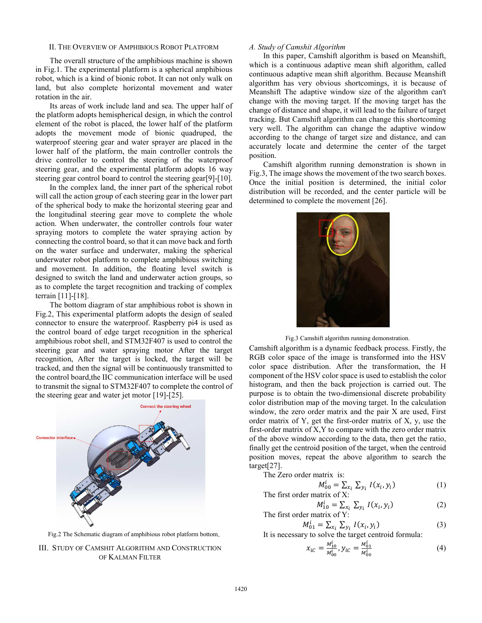## II. THE OVERVIEW OF AMPHIBIOUS ROBOT PLATFORM

 The overall structure of the amphibious machine is shown in Fig.1. The experimental platform is a spherical amphibious robot, which is a kind of bionic robot. It can not only walk on land, but also complete horizontal movement and water rotation in the air.

 Its areas of work include land and sea. The upper half of the platform adopts hemispherical design, in which the control element of the robot is placed, the lower half of the platform adopts the movement mode of bionic quadruped, the waterproof steering gear and water sprayer are placed in the lower half of the platform, the main controller controls the drive controller to control the steering of the waterproof steering gear, and the experimental platform adopts 16 way steering gear control board to control the steering gear[9]-[10].

 In the complex land, the inner part of the spherical robot will call the action group of each steering gear in the lower part of the spherical body to make the horizontal steering gear and the longitudinal steering gear move to complete the whole action. When underwater, the controller controls four water spraying motors to complete the water spraying action by connecting the control board, so that it can move back and forth on the water surface and underwater, making the spherical underwater robot platform to complete amphibious switching and movement. In addition, the floating level switch is designed to switch the land and underwater action groups, so as to complete the target recognition and tracking of complex terrain [11]-[18].

 The bottom diagram of star amphibious robot is shown in Fig.2, This experimental platform adopts the design of sealed connector to ensure the waterproof. Raspberry pi4 is used as the control board of edge target recognition in the spherical amphibious robot shell, and STM32F407 is used to control the steering gear and water spraying motor After the target recognition, After the target is locked, the target will be tracked, and then the signal will be continuously transmitted to the control board,the IIC communication interface will be used to transmit the signal to STM32F407 to complete the control of the steering gear and water jet motor [19]-[25].



Fig.2 The Schematic diagram of amphibious robot platform bottom.

III. STUDY OF CAMSHIT ALGORITHM AND CONSTRUCTION OF KALMAN FILTER

# *A. Study of Camshit Algorithm*

 In this paper, Camshift algorithm is based on Meanshift, which is a continuous adaptive mean shift algorithm, called continuous adaptive mean shift algorithm. Because Meanshift algorithm has very obvious shortcomings, it is because of Meanshift The adaptive window size of the algorithm can't change with the moving target. If the moving target has the change of distance and shape, it will lead to the failure of target tracking. But Camshift algorithm can change this shortcoming very well. The algorithm can change the adaptive window according to the change of target size and distance, and can accurately locate and determine the center of the target position.

 Camshift algorithm running demonstration is shown in Fig.3, The image shows the movement of the two search boxes. Once the initial position is determined, the initial color distribution will be recorded, and the center particle will be determined to complete the movement [26].



Fig.3 Camshift algorithm running demonstration.

Camshift algorithm is a dynamic feedback process. Firstly, the RGB color space of the image is transformed into the HSV color space distribution. After the transformation, the H component of the HSV color space is used to establish the color histogram, and then the back projection is carried out. The purpose is to obtain the two-dimensional discrete probability color distribution map of the moving target. In the calculation window, the zero order matrix and the pair X are used, First order matrix of Y, get the first-order matrix of X, y, use the first-order matrix of X,Y to compare with the zero order matrix of the above window according to the data, then get the ratio, finally get the centroid position of the target, when the centroid position moves, repeat the above algorithm to search the target[27].

The Zero order matrix is:

$$
M_{00}^i = \sum_{x_i} \sum_{y_i} I(x_i, y_i)
$$
 (1)

The first order matrix of X:

$$
M_{10}^{i} = \sum_{x_i} \sum_{y_i} I(x_i, y_i)
$$
 (2)  
The first order matrix of Y:

$$
M_{01}^i = \sum_{x_i} \sum_{y_i} I(x_i, y_i)
$$
 (3)

It is necessary to solve the target centroid formula:

$$
x_{iC} = \frac{M_{10}^i}{M_{00}^i}, y_{iC} = \frac{M_{01}^i}{M_{00}^i}
$$
 (4)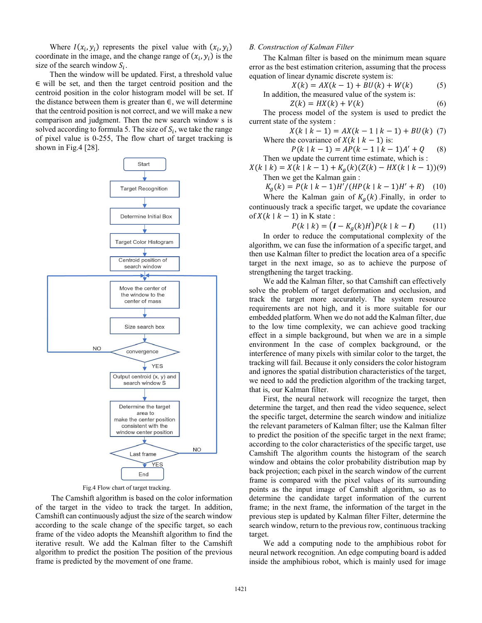Where  $I(x_i, y_i)$  represents the pixel value with  $(x_i, y_i)$ coordinate in the image, and the change range of  $(x_i, y_i)$  is the size of the search window  $S_i$ .

 Then the window will be updated. First, a threshold value ∈ will be set, and then the target centroid position and the centroid position in the color histogram model will be set. If the distance between them is greater than  $\in$ , we will determine that the centroid position is not correct, and we will make a new comparison and judgment. Then the new search window s is solved according to formula 5. The size of  $S_i$ , we take the range of pixel value is 0-255, The flow chart of target tracking is shown in Fig.4 [28].



Fig.4 Flow chart of target tracking.

The Camshift algorithm is based on the color information of the target in the video to track the target. In addition, Camshift can continuously adjust the size of the search window according to the scale change of the specific target, so each frame of the video adopts the Meanshift algorithm to find the iterative result. We add the Kalman filter to the Camshift algorithm to predict the position The position of the previous frame is predicted by the movement of one frame.

## *B. Construction of Kalman Filter*

 The Kalman filter is based on the minimum mean square error as the best estimation criterion, assuming that the process equation of linear dynamic discrete system is:

$$
X(k) = AX(k-1) + BU(k) + W(k)
$$
 (5)

In addition, the measured value of the system is:  
\n
$$
Z(k) = HX(k) + V(k)
$$
\n(6)

 The process model of the system is used to predict the current state of the system :

$$
X(k | k - 1) = AX(k - 1 | k - 1) + BU(k)
$$
 (7)  
Where the covariance of  $X(k | k - 1)$  is:

$$
P(k | k - 1) = AP(k - 1 | k - 1)A' + Q
$$
 (8)  
Then we update the current time estimate, which is :

 $X(k | k) = X(k | k - 1) + K<sub>g</sub>(k)(Z(k) - HX(k | k - 1))$ (9) Then we get the Kalman gain :

$$
K_g(k) = P(k \mid k-1)H'/(HP(k \mid k-1)H' + R)
$$
 (10)

Where the Kalman gain of  $K_a(k)$ . Finally, in order to continuously track a specific target, we update the covariance of  $X(k \mid k-1)$  in K state :

$$
P(k | k) = (I - K_g(k)H)P(k | k - I)
$$
 (11)

 In order to reduce the computational complexity of the algorithm, we can fuse the information of a specific target, and then use Kalman filter to predict the location area of a specific target in the next image, so as to achieve the purpose of strengthening the target tracking.

 We add the Kalman filter, so that Camshift can effectively solve the problem of target deformation and occlusion, and track the target more accurately. The system resource requirements are not high, and it is more suitable for our embedded platform. When we do not add the Kalman filter, due to the low time complexity, we can achieve good tracking effect in a simple background, but when we are in a simple environment In the case of complex background, or the interference of many pixels with similar color to the target, the tracking will fail. Because it only considers the color histogram and ignores the spatial distribution characteristics of the target, we need to add the prediction algorithm of the tracking target, that is, our Kalman filter.

 First, the neural network will recognize the target, then determine the target, and then read the video sequence, select the specific target, determine the search window and initialize the relevant parameters of Kalman filter; use the Kalman filter to predict the position of the specific target in the next frame; according to the color characteristics of the specific target, use Camshift The algorithm counts the histogram of the search window and obtains the color probability distribution map by back projection; each pixel in the search window of the current frame is compared with the pixel values of its surrounding points as the input image of Camshift algorithm, so as to determine the candidate target information of the current frame; in the next frame, the information of the target in the previous step is updated by Kalman filter Filter, determine the search window, return to the previous row, continuous tracking target.

 We add a computing node to the amphibious robot for neural network recognition. An edge computing board is added inside the amphibious robot, which is mainly used for image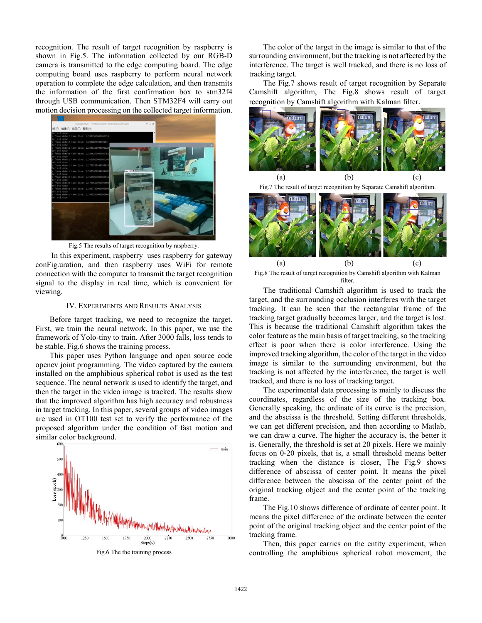recognition. The result of target recognition by raspberry is shown in Fig.5. The information collected by our RGB-D camera is transmitted to the edge computing board. The edge computing board uses raspberry to perform neural network operation to complete the edge calculation, and then transmits the information of the first confirmation box to stm32f4 through USB communication. Then STM32F4 will carry out motion decision processing on the collected target information.



Fig.5 The results of target recognition by raspberry.

In this experiment, raspberry uses raspberry for gateway conFig.uration, and then raspberry uses WiFi for remote connection with the computer to transmit the target recognition signal to the display in real time, which is convenient for viewing.

#### IV. EXPERIMENTS AND RESULTS ANALYSIS

 Before target tracking, we need to recognize the target. First, we train the neural network. In this paper, we use the framework of Yolo-tiny to train. After 3000 falls, loss tends to be stable. Fig.6 shows the training process.

 This paper uses Python language and open source code opencv joint programming. The video captured by the camera installed on the amphibious spherical robot is used as the test sequence. The neural network is used to identify the target, and then the target in the video image is tracked. The results show that the improved algorithm has high accuracy and robustness in target tracking. In this paper, several groups of video images are used in OT100 test set to verify the performance of the proposed algorithm under the condition of fast motion and similar color background.



 The color of the target in the image is similar to that of the surrounding environment, but the tracking is not affected by the interference. The target is well tracked, and there is no loss of tracking target.

 The Fig.7 shows result of target recognition by Separate Camshift algorithm, The Fig.8 shows result of target recognition by Camshift algorithm with Kalman filter.



Fig.7 The result of target recognition by Separate Camshift algorithm.



Fig.8 The result of target recognition by Camshift algorithm with Kalman filter.

 The traditional Camshift algorithm is used to track the target, and the surrounding occlusion interferes with the target tracking. It can be seen that the rectangular frame of the tracking target gradually becomes larger, and the target is lost. This is because the traditional Camshift algorithm takes the color feature as the main basis of target tracking, so the tracking effect is poor when there is color interference. Using the improved tracking algorithm, the color of the target in the video image is similar to the surrounding environment, but the tracking is not affected by the interference, the target is well tracked, and there is no loss of tracking target.

 The experimental data processing is mainly to discuss the coordinates, regardless of the size of the tracking box. Generally speaking, the ordinate of its curve is the precision, and the abscissa is the threshold. Setting different thresholds, we can get different precision, and then according to Matlab, we can draw a curve. The higher the accuracy is, the better it is. Generally, the threshold is set at 20 pixels. Here we mainly focus on 0-20 pixels, that is, a small threshold means better tracking when the distance is closer, The Fig.9 shows difference of abscissa of center point. It means the pixel difference between the abscissa of the center point of the original tracking object and the center point of the tracking frame.

 The Fig.10 shows difference of ordinate of center point. It means the pixel difference of the ordinate between the center point of the original tracking object and the center point of the tracking frame.

 Then, this paper carries on the entity experiment, when controlling the amphibious spherical robot movement, the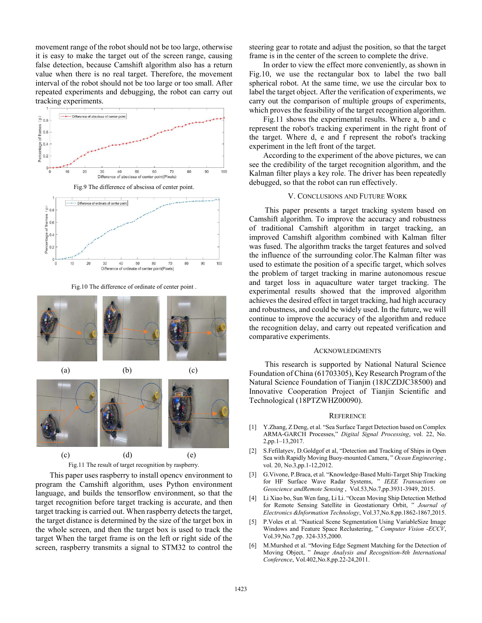movement range of the robot should not be too large, otherwise it is easy to make the target out of the screen range, causing false detection, because Camshift algorithm also has a return value when there is no real target. Therefore, the movement interval of the robot should not be too large or too small. After repeated experiments and debugging, the robot can carry out tracking experiments.



Fig.10 The difference of ordinate of center point .





 This paper uses raspberry to install opencv environment to program the Camshift algorithm, uses Python environment language, and builds the tensorflow environment, so that the target recognition before target tracking is accurate, and then target tracking is carried out. When raspberry detects the target, the target distance is determined by the size of the target box in the whole screen, and then the target box is used to track the target When the target frame is on the left or right side of the screen, raspberry transmits a signal to STM32 to control the

steering gear to rotate and adjust the position, so that the target frame is in the center of the screen to complete the drive.

 In order to view the effect more conveniently, as shown in Fig.10, we use the rectangular box to label the two ball spherical robot. At the same time, we use the circular box to label the target object. After the verification of experiments, we carry out the comparison of multiple groups of experiments, which proves the feasibility of the target recognition algorithm.

 Fig.11 shows the experimental results. Where a, b and c represent the robot's tracking experiment in the right front of the target. Where d, e and f represent the robot's tracking experiment in the left front of the target.

 According to the experiment of the above pictures, we can see the credibility of the target recognition algorithm, and the Kalman filter plays a key role. The driver has been repeatedly debugged, so that the robot can run effectively.

### V. CONCLUSIONS AND FUTURE WORK

This paper presents a target tracking system based on Camshift algorithm. To improve the accuracy and robustness of traditional Camshift algorithm in target tracking, an improved Camshift algorithm combined with Kalman filter was fused. The algorithm tracks the target features and solved the influence of the surrounding color.The Kalman filter was used to estimate the position of a specific target, which solves the problem of target tracking in marine autonomous rescue and target loss in aquaculture water target tracking. The experimental results showed that the improved algorithm achieves the desired effect in target tracking, had high accuracy and robustness, and could be widely used. In the future, we will continue to improve the accuracy of the algorithm and reduce the recognition delay, and carry out repeated verification and comparative experiments.

## ACKNOWLEDGMENTS

This research is supported by National Natural Science Foundation of China (61703305), Key Research Program of the Natural Science Foundation of Tianjin (18JCZDJC38500) and Innovative Cooperation Project of Tianjin Scientific and Technological (18PTZWHZ00090).

#### **REFERENCE**

- [1] Y.Zhang, Z Deng, et al. "Sea Surface Target Detection based on Complex ARMA-GARCH Processes," *Digital Signal Processing*, vol. 22, No. 2,pp.1–13,2017.
- [2] S.Fefilatyev, D.Goldgof et al, "Detection and Tracking of Ships in Open Sea with Rapidly Moving Buoy-mounted Camera, " *Ocean Engineering* , vol. 20, No.3,pp.1-12,2012.
- [3] G.Vivone, P.Braca, et al. "Knowledge-Based Multi-Target Ship Tracking for HF Surface Wave Radar Systems, " *IEEE Transactions on Geoscience andRemote Sensing* , Vol.53,No.7,pp.3931-3949, 2015.
- [4] Li Xiao bo, Sun Wen fang, Li Li. "Ocean Moving Ship Detection Method for Remote Sensing Satellite in Geostationary Orbit, " *Journal of Electronics &Information Technology*, Vol.37,No.8,pp.1862-1867,2015.
- [5] P.Voles et al. "Nautical Scene Segmentation Using VariableSize Image Windows and Feature Space Reclustering, " *Computer Vision -ECCV*, Vol.39,No.7,pp. 324-335,2000.
- [6] M.Murshed et al. "Moving Edge Segment Matching for the Detection of Moving Object, " *Image Analysis and Recognition-8th International Conference*, Vol.402,No.8,pp.22-24,2011.